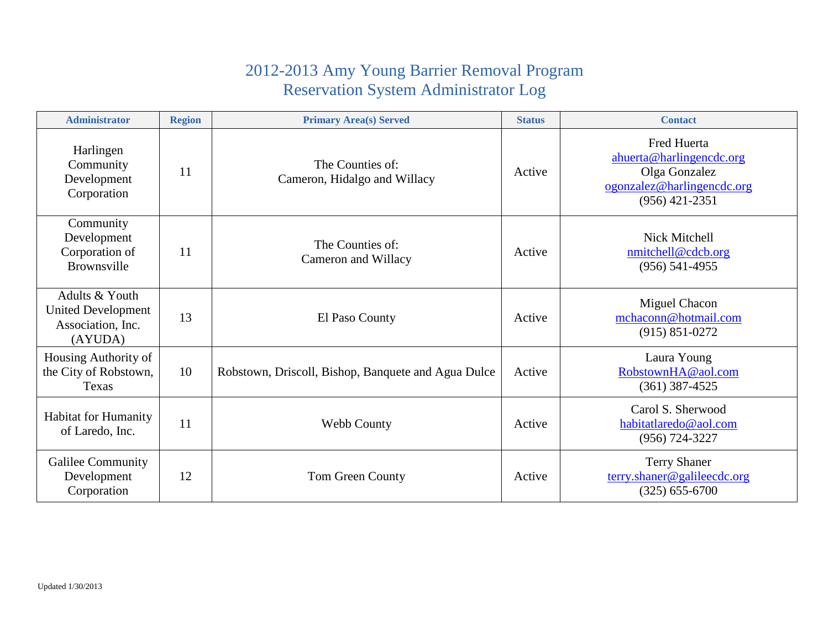## 2012-2013 Amy Young Barrier Removal Program Reservation System Administrator Log

| <b>Administrator</b>                                                        | <b>Region</b> | <b>Primary Area(s) Served</b>                       | <b>Status</b> | <b>Contact</b>                                                                                                    |
|-----------------------------------------------------------------------------|---------------|-----------------------------------------------------|---------------|-------------------------------------------------------------------------------------------------------------------|
| Harlingen<br>Community<br>Development<br>Corporation                        | 11            | The Counties of:<br>Cameron, Hidalgo and Willacy    | Active        | <b>Fred Huerta</b><br>ahuerta@harlingencdc.org<br>Olga Gonzalez<br>ogonzalez@harlingencdc.org<br>$(956)$ 421-2351 |
| Community<br>Development<br>Corporation of<br><b>Brownsville</b>            | 11            | The Counties of:<br>Cameron and Willacy             | Active        | Nick Mitchell<br>nmitchell@cdcb.org<br>$(956) 541 - 4955$                                                         |
| Adults & Youth<br><b>United Development</b><br>Association, Inc.<br>(AYUDA) | 13            | El Paso County                                      | Active        | Miguel Chacon<br>mchaconn@hotmail.com<br>$(915) 851 - 0272$                                                       |
| Housing Authority of<br>the City of Robstown,<br>Texas                      | 10            | Robstown, Driscoll, Bishop, Banquete and Agua Dulce | Active        | Laura Young<br>RobstownHA@aol.com<br>$(361)$ 387-4525                                                             |
| <b>Habitat for Humanity</b><br>of Laredo, Inc.                              | 11            | Webb County                                         | Active        | Carol S. Sherwood<br>habitatlaredo@aol.com<br>$(956) 724 - 3227$                                                  |
| Galilee Community<br>Development<br>Corporation                             | 12            | Tom Green County                                    | Active        | <b>Terry Shaner</b><br>terry.shaner@galileecdc.org<br>$(325) 655 - 6700$                                          |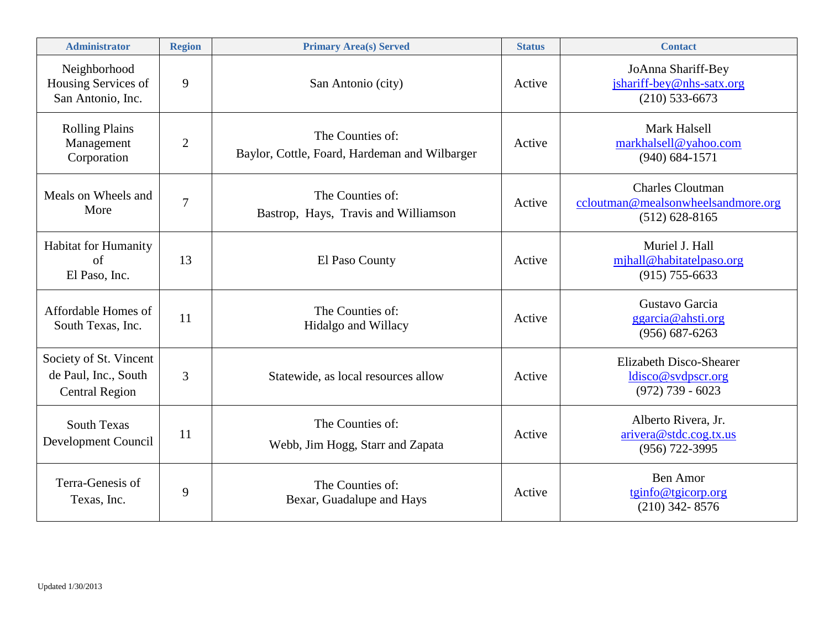| <b>Administrator</b>                                                    | <b>Region</b>  | <b>Primary Area(s) Served</b>                                     | <b>Status</b> | <b>Contact</b>                                                                      |
|-------------------------------------------------------------------------|----------------|-------------------------------------------------------------------|---------------|-------------------------------------------------------------------------------------|
| Neighborhood<br>Housing Services of<br>San Antonio, Inc.                | 9              | San Antonio (city)                                                | Active        | JoAnna Shariff-Bey<br>jshariff-bey@nhs-satx.org<br>$(210)$ 533-6673                 |
| <b>Rolling Plains</b><br>Management<br>Corporation                      | $\overline{2}$ | The Counties of:<br>Baylor, Cottle, Foard, Hardeman and Wilbarger | Active        | <b>Mark Halsell</b><br>markhalsell@yahoo.com<br>$(940) 684 - 1571$                  |
| Meals on Wheels and<br>More                                             | $\overline{7}$ | The Counties of:<br>Bastrop, Hays, Travis and Williamson          | Active        | <b>Charles Cloutman</b><br>ccloutman@mealsonwheelsandmore.org<br>$(512) 628 - 8165$ |
| <b>Habitat for Humanity</b><br>of<br>El Paso, Inc.                      | 13             | El Paso County                                                    | Active        | Muriel J. Hall<br>mjhall@habitatelpaso.org<br>$(915)$ 755-6633                      |
| Affordable Homes of<br>South Texas, Inc.                                | 11             | The Counties of:<br>Hidalgo and Willacy                           | Active        | Gustavo Garcia<br>ggarcia@ahsti.org<br>$(956) 687 - 6263$                           |
| Society of St. Vincent<br>de Paul, Inc., South<br><b>Central Region</b> | 3              | Statewide, as local resources allow                               | Active        | Elizabeth Disco-Shearer<br>ldisco@svdpscr.org<br>$(972)$ 739 - 6023                 |
| <b>South Texas</b><br>Development Council                               | 11             | The Counties of:<br>Webb, Jim Hogg, Starr and Zapata              | Active        | Alberto Rivera, Jr.<br>arivera@stdc.coq.txt.us<br>(956) 722-3995                    |
| Terra-Genesis of<br>Texas, Inc.                                         | 9              | The Counties of:<br>Bexar, Guadalupe and Hays                     | Active        | Ben Amor<br>tginfo@tgicorp.org<br>$(210)$ 342-8576                                  |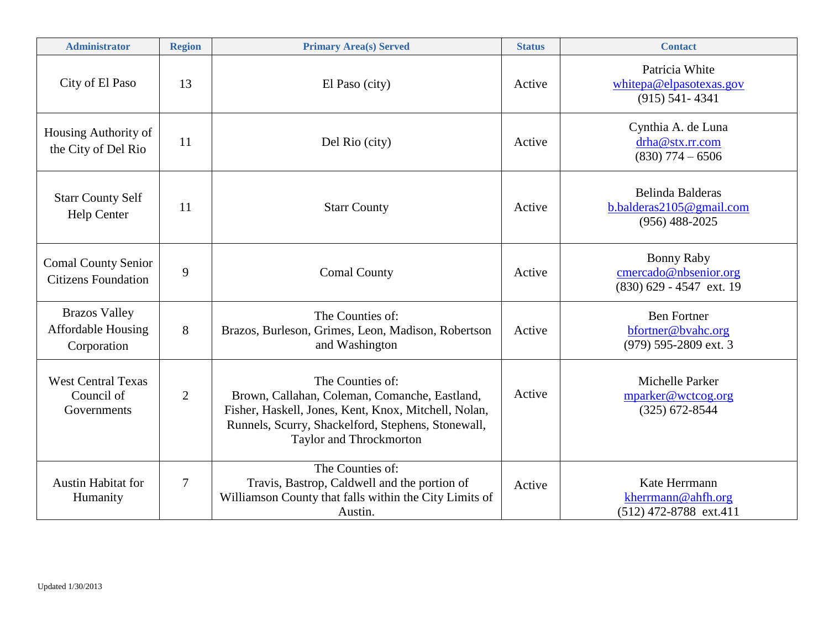| <b>Administrator</b>                                             | <b>Region</b>  | <b>Primary Area(s) Served</b>                                                                                                                                                                              | <b>Status</b> | <b>Contact</b>                                                           |
|------------------------------------------------------------------|----------------|------------------------------------------------------------------------------------------------------------------------------------------------------------------------------------------------------------|---------------|--------------------------------------------------------------------------|
| City of El Paso                                                  | 13             | El Paso (city)                                                                                                                                                                                             | Active        | Patricia White<br>whitepa@elpasotexas.gov<br>$(915) 541 - 4341$          |
| Housing Authority of<br>the City of Del Rio                      | 11             | Del Rio (city)                                                                                                                                                                                             | Active        | Cynthia A. de Luna<br>drha@stx.rr.com<br>$(830)$ 774 - 6506              |
| <b>Starr County Self</b><br>Help Center                          | 11             | <b>Starr County</b>                                                                                                                                                                                        | Active        | Belinda Balderas<br>b.balderas2105@gmail.com<br>$(956)$ 488-2025         |
| <b>Comal County Senior</b><br><b>Citizens Foundation</b>         | 9              | <b>Comal County</b>                                                                                                                                                                                        | Active        | <b>Bonny Raby</b><br>cmercado@nbsenior.org<br>$(830)$ 629 - 4547 ext. 19 |
| <b>Brazos Valley</b><br><b>Affordable Housing</b><br>Corporation | 8              | The Counties of:<br>Brazos, Burleson, Grimes, Leon, Madison, Robertson<br>and Washington                                                                                                                   | Active        | <b>Ben Fortner</b><br>bfortner@bvahc.org<br>(979) 595-2809 ext. 3        |
| <b>West Central Texas</b><br>Council of<br>Governments           | $\overline{2}$ | The Counties of:<br>Brown, Callahan, Coleman, Comanche, Eastland,<br>Fisher, Haskell, Jones, Kent, Knox, Mitchell, Nolan,<br>Runnels, Scurry, Shackelford, Stephens, Stonewall,<br>Taylor and Throckmorton | Active        | Michelle Parker<br>mparker@wctcog.org<br>$(325)$ 672-8544                |
| <b>Austin Habitat for</b><br>Humanity                            | $\overline{7}$ | The Counties of:<br>Travis, Bastrop, Caldwell and the portion of<br>Williamson County that falls within the City Limits of<br>Austin.                                                                      | Active        | Kate Herrmann<br>kherrmann@ahfh.org<br>(512) 472-8788 ext.411            |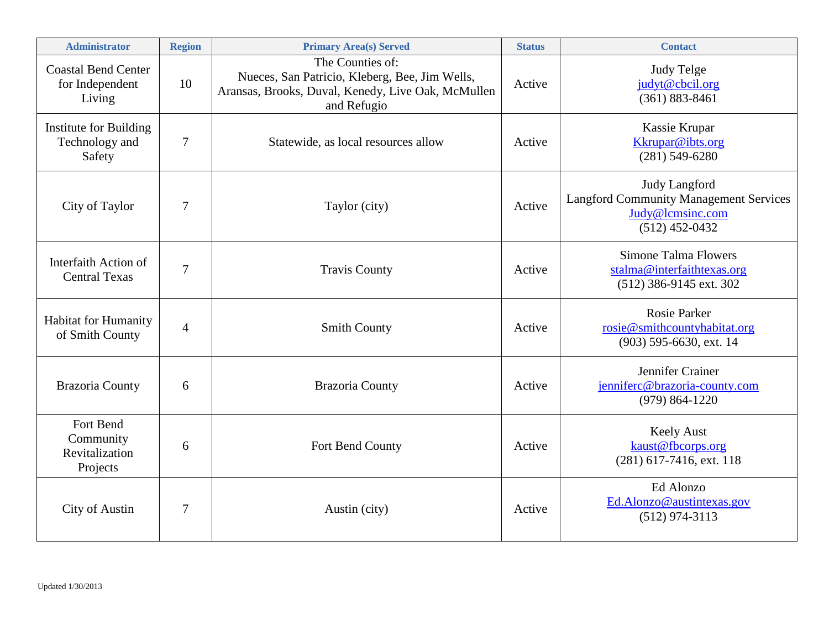| <b>Administrator</b>                                      | <b>Region</b>  | <b>Primary Area(s) Served</b>                                                                                                           | <b>Status</b> | <b>Contact</b>                                                                                                |
|-----------------------------------------------------------|----------------|-----------------------------------------------------------------------------------------------------------------------------------------|---------------|---------------------------------------------------------------------------------------------------------------|
| <b>Coastal Bend Center</b><br>for Independent<br>Living   | 10             | The Counties of:<br>Nueces, San Patricio, Kleberg, Bee, Jim Wells,<br>Aransas, Brooks, Duval, Kenedy, Live Oak, McMullen<br>and Refugio | Active        | <b>Judy Telge</b><br>judyt@cbcil.org<br>$(361) 883 - 8461$                                                    |
| <b>Institute for Building</b><br>Technology and<br>Safety | 7              | Statewide, as local resources allow                                                                                                     | Active        | Kassie Krupar<br>Kkrupar@ibts.org<br>$(281) 549 - 6280$                                                       |
| City of Taylor                                            | $\overline{7}$ | Taylor (city)                                                                                                                           | Active        | <b>Judy Langford</b><br><b>Langford Community Management Services</b><br>Judy@lcmsinc.com<br>$(512)$ 452-0432 |
| Interfaith Action of<br><b>Central Texas</b>              | $\overline{7}$ | <b>Travis County</b>                                                                                                                    | Active        | Simone Talma Flowers<br>stalma@interfaithtexas.org<br>(512) 386-9145 ext. 302                                 |
| Habitat for Humanity<br>of Smith County                   | $\overline{4}$ | <b>Smith County</b>                                                                                                                     | Active        | <b>Rosie Parker</b><br>rosie@smithcountyhabitat.org<br>(903) 595-6630, ext. 14                                |
| <b>Brazoria County</b>                                    | 6              | <b>Brazoria County</b>                                                                                                                  | Active        | Jennifer Crainer<br>jenniferc@brazoria-county.com<br>$(979) 864 - 1220$                                       |
| Fort Bend<br>Community<br>Revitalization<br>Projects      | 6              | Fort Bend County                                                                                                                        | Active        | <b>Keely Aust</b><br>kaust@fbcorps.org<br>$(281)$ 617-7416, ext. 118                                          |
| <b>City of Austin</b>                                     | $\overline{7}$ | Austin (city)                                                                                                                           | Active        | Ed Alonzo<br>Ed.Alonzo@austintexas.gov<br>$(512)$ 974-3113                                                    |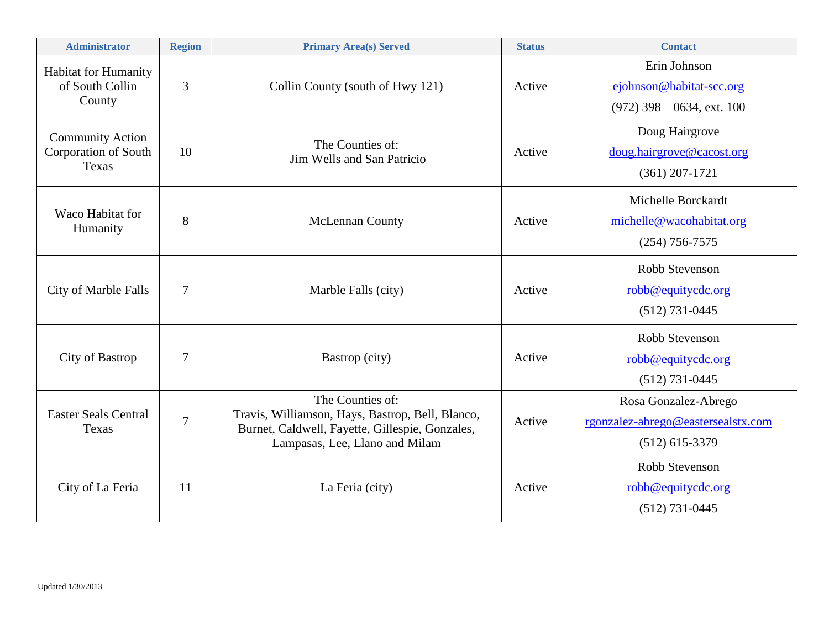| <b>Administrator</b>                                     | <b>Region</b>  | <b>Primary Area(s) Served</b>                                                                                                                             | <b>Status</b> | <b>Contact</b>                                                                 |
|----------------------------------------------------------|----------------|-----------------------------------------------------------------------------------------------------------------------------------------------------------|---------------|--------------------------------------------------------------------------------|
| <b>Habitat for Humanity</b><br>of South Collin<br>County | 3              | Collin County (south of Hwy 121)                                                                                                                          | Active        | Erin Johnson<br>ejohnson@habitat-scc.org<br>$(972)$ 398 – 0634, ext. 100       |
| <b>Community Action</b><br>Corporation of South<br>Texas | 10             | The Counties of:<br>Jim Wells and San Patricio                                                                                                            | Active        | Doug Hairgrove<br>doug.hairgrove@cacost.org<br>$(361)$ 207-1721                |
| Waco Habitat for<br>Humanity                             | 8              | McLennan County                                                                                                                                           | Active        | Michelle Borckardt<br>michelle@wacohabitat.org<br>$(254)$ 756-7575             |
| City of Marble Falls                                     | $\overline{7}$ | Marble Falls (city)                                                                                                                                       | Active        | Robb Stevenson<br>robb@equitycdc.org<br>$(512)$ 731-0445                       |
| City of Bastrop                                          | 7              | Bastrop (city)                                                                                                                                            | Active        | Robb Stevenson<br>robb@equitycdc.org<br>$(512)$ 731-0445                       |
| <b>Easter Seals Central</b><br>Texas                     | $\overline{7}$ | The Counties of:<br>Travis, Williamson, Hays, Bastrop, Bell, Blanco,<br>Burnet, Caldwell, Fayette, Gillespie, Gonzales,<br>Lampasas, Lee, Llano and Milam | Active        | Rosa Gonzalez-Abrego<br>rgonzalez-abrego@eastersealstx.com<br>$(512)$ 615-3379 |
| City of La Feria                                         | 11             | La Feria (city)                                                                                                                                           | Active        | Robb Stevenson<br>robb@equitycdc.org<br>$(512)$ 731-0445                       |